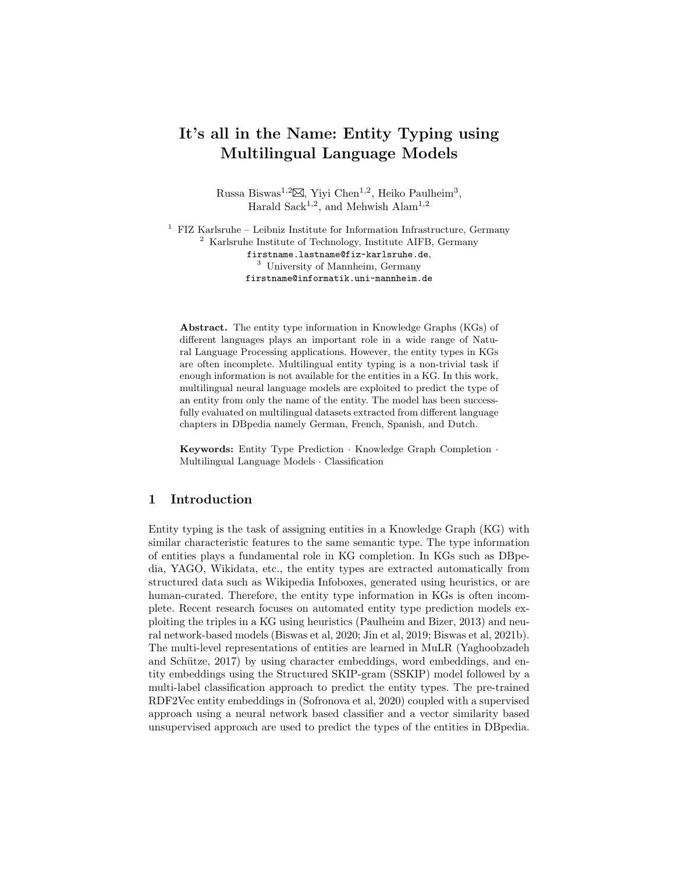# It's all in the Name: Entity Typing using Multilingual Language Models

Russa Biswas<sup>1,2</sup> $\boxtimes$ , Yiyi Chen<sup>1,2</sup>, Heiko Paulheim<sup>3</sup>, Harald Sack<sup>1,2</sup>, and Mehwish Alam<sup>1,2</sup>

<sup>1</sup> FIZ Karlsruhe – Leibniz Institute for Information Infrastructure, Germany <sup>2</sup> Karlsruhe Institute of Technology, Institute AIFB, Germany firstname.lastname@fiz-karlsruhe.de, <sup>3</sup> University of Mannheim, Germany firstname@informatik.uni-mannheim.de

Abstract. The entity type information in Knowledge Graphs (KGs) of different languages plays an important role in a wide range of Natural Language Processing applications. However, the entity types in KGs are often incomplete. Multilingual entity typing is a non-trivial task if enough information is not available for the entities in a KG. In this work, multilingual neural language models are exploited to predict the type of an entity from only the name of the entity. The model has been successfully evaluated on multilingual datasets extracted from different language chapters in DBpedia namely German, French, Spanish, and Dutch.

Keywords: Entity Type Prediction · Knowledge Graph Completion · Multilingual Language Models · Classification

### 1 Introduction

Entity typing is the task of assigning entities in a Knowledge Graph (KG) with similar characteristic features to the same semantic type. The type information of entities plays a fundamental role in KG completion. In KGs such as DBpedia, YAGO, Wikidata, etc., the entity types are extracted automatically from structured data such as Wikipedia Infoboxes, generated using heuristics, or are human-curated. Therefore, the entity type information in KGs is often incomplete. Recent research focuses on automated entity type prediction models exploiting the triples in a KG using heuristics (Paulheim and Bizer, 2013) and neural network-based models (Biswas et al, 2020; Jin et al, 2019; Biswas et al, 2021b). The multi-level representations of entities are learned in MuLR (Yaghoobzadeh and Schütze, 2017) by using character embeddings, word embeddings, and entity embeddings using the Structured SKIP-gram (SSKIP) model followed by a multi-label classification approach to predict the entity types. The pre-trained RDF2Vec entity embeddings in (Sofronova et al, 2020) coupled with a supervised approach using a neural network based classifier and a vector similarity based unsupervised approach are used to predict the types of the entities in DBpedia.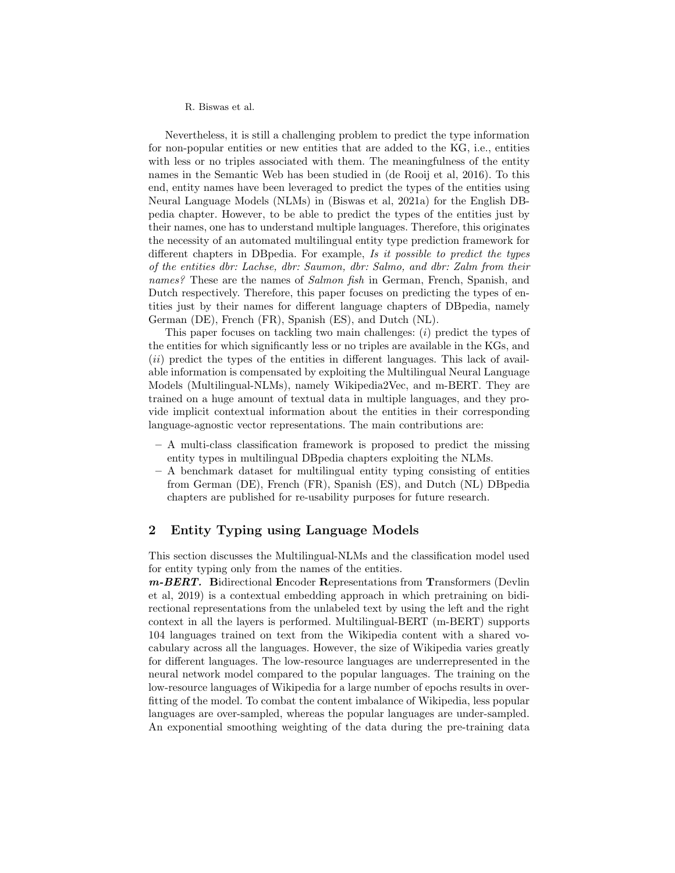#### R. Biswas et al.

Nevertheless, it is still a challenging problem to predict the type information for non-popular entities or new entities that are added to the KG, i.e., entities with less or no triples associated with them. The meaningfulness of the entity names in the Semantic Web has been studied in (de Rooij et al, 2016). To this end, entity names have been leveraged to predict the types of the entities using Neural Language Models (NLMs) in (Biswas et al, 2021a) for the English DBpedia chapter. However, to be able to predict the types of the entities just by their names, one has to understand multiple languages. Therefore, this originates the necessity of an automated multilingual entity type prediction framework for different chapters in DBpedia. For example, Is it possible to predict the types of the entities dbr: Lachse, dbr: Saumon, dbr: Salmo, and dbr: Zalm from their names? These are the names of *Salmon fish* in German, French, Spanish, and Dutch respectively. Therefore, this paper focuses on predicting the types of entities just by their names for different language chapters of DBpedia, namely German (DE), French (FR), Spanish (ES), and Dutch (NL).

This paper focuses on tackling two main challenges:  $(i)$  predict the types of the entities for which significantly less or no triples are available in the KGs, and (*ii*) predict the types of the entities in different languages. This lack of available information is compensated by exploiting the Multilingual Neural Language Models (Multilingual-NLMs), namely Wikipedia2Vec, and m-BERT. They are trained on a huge amount of textual data in multiple languages, and they provide implicit contextual information about the entities in their corresponding language-agnostic vector representations. The main contributions are:

- A multi-class classification framework is proposed to predict the missing entity types in multilingual DBpedia chapters exploiting the NLMs.
- A benchmark dataset for multilingual entity typing consisting of entities from German (DE), French (FR), Spanish (ES), and Dutch (NL) DBpedia chapters are published for re-usability purposes for future research.

### 2 Entity Typing using Language Models

This section discusses the Multilingual-NLMs and the classification model used for entity typing only from the names of the entities.

m-BERT. Bidirectional Encoder Representations from Transformers (Devlin et al, 2019) is a contextual embedding approach in which pretraining on bidirectional representations from the unlabeled text by using the left and the right context in all the layers is performed. Multilingual-BERT (m-BERT) supports 104 languages trained on text from the Wikipedia content with a shared vocabulary across all the languages. However, the size of Wikipedia varies greatly for different languages. The low-resource languages are underrepresented in the neural network model compared to the popular languages. The training on the low-resource languages of Wikipedia for a large number of epochs results in overfitting of the model. To combat the content imbalance of Wikipedia, less popular languages are over-sampled, whereas the popular languages are under-sampled. An exponential smoothing weighting of the data during the pre-training data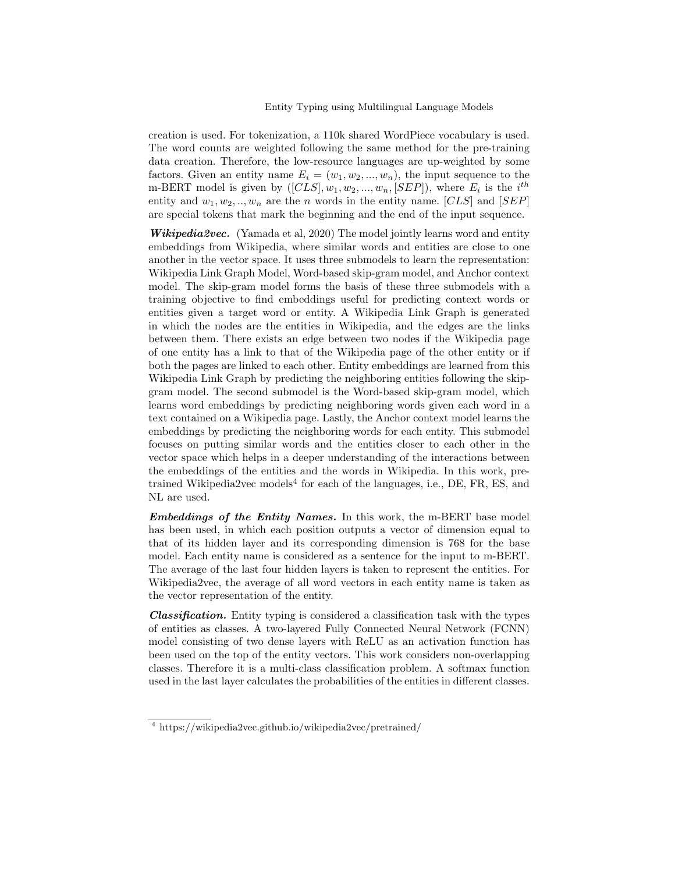creation is used. For tokenization, a 110k shared WordPiece vocabulary is used. The word counts are weighted following the same method for the pre-training data creation. Therefore, the low-resource languages are up-weighted by some factors. Given an entity name  $E_i = (w_1, w_2, ..., w_n)$ , the input sequence to the m-BERT model is given by  $([CLS], w_1, w_2, ..., w_n, [SEP])$ , where  $E_i$  is the  $i^{th}$ entity and  $w_1, w_2, \ldots, w_n$  are the n words in the entity name. [CLS] and [SEP] are special tokens that mark the beginning and the end of the input sequence.

Wikipedia2vec. (Yamada et al, 2020) The model jointly learns word and entity embeddings from Wikipedia, where similar words and entities are close to one another in the vector space. It uses three submodels to learn the representation: Wikipedia Link Graph Model, Word-based skip-gram model, and Anchor context model. The skip-gram model forms the basis of these three submodels with a training objective to find embeddings useful for predicting context words or entities given a target word or entity. A Wikipedia Link Graph is generated in which the nodes are the entities in Wikipedia, and the edges are the links between them. There exists an edge between two nodes if the Wikipedia page of one entity has a link to that of the Wikipedia page of the other entity or if both the pages are linked to each other. Entity embeddings are learned from this Wikipedia Link Graph by predicting the neighboring entities following the skipgram model. The second submodel is the Word-based skip-gram model, which learns word embeddings by predicting neighboring words given each word in a text contained on a Wikipedia page. Lastly, the Anchor context model learns the embeddings by predicting the neighboring words for each entity. This submodel focuses on putting similar words and the entities closer to each other in the vector space which helps in a deeper understanding of the interactions between the embeddings of the entities and the words in Wikipedia. In this work, pretrained Wikipedia2vec models<sup>4</sup> for each of the languages, i.e., DE, FR, ES, and NL are used.

Embeddings of the Entity Names. In this work, the m-BERT base model has been used, in which each position outputs a vector of dimension equal to that of its hidden layer and its corresponding dimension is 768 for the base model. Each entity name is considered as a sentence for the input to m-BERT. The average of the last four hidden layers is taken to represent the entities. For Wikipedia2vec, the average of all word vectors in each entity name is taken as the vector representation of the entity.

Classification. Entity typing is considered a classification task with the types of entities as classes. A two-layered Fully Connected Neural Network (FCNN) model consisting of two dense layers with ReLU as an activation function has been used on the top of the entity vectors. This work considers non-overlapping classes. Therefore it is a multi-class classification problem. A softmax function used in the last layer calculates the probabilities of the entities in different classes.

<sup>4</sup> https://wikipedia2vec.github.io/wikipedia2vec/pretrained/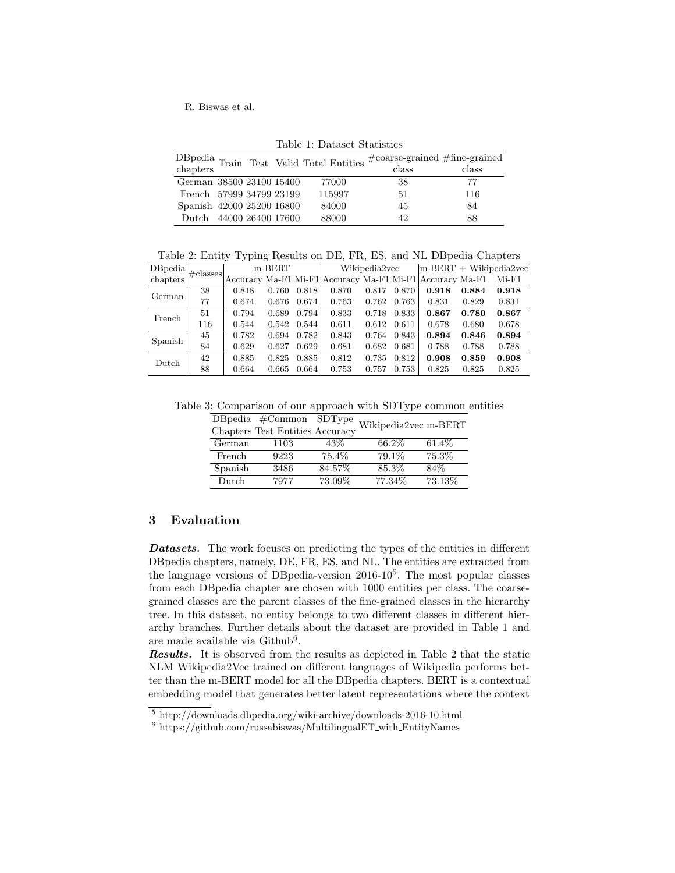R. Biswas et al.

Table 1: Dataset Statistics

|                                                                                                                                                                                                                                                                                                                                                                                                                                                   |  |  |        | $\# \text{coarse-grained }\# \text{fine-grained}$ |       |
|---------------------------------------------------------------------------------------------------------------------------------------------------------------------------------------------------------------------------------------------------------------------------------------------------------------------------------------------------------------------------------------------------------------------------------------------------|--|--|--------|---------------------------------------------------|-------|
| $\begin{minipage}{.4\linewidth} \textbf{D}} & \textbf{D} & \textbf{D} & \textbf{D} & \textbf{D} \\ \textbf{Chapters} & \textbf{D} & \textbf{D} & \textbf{D} \\ \textbf{D} & \textbf{D} & \textbf{D} & \textbf{D} \\ \textbf{D} & \textbf{D} & \textbf{D} & \textbf{D} \\ \textbf{D} & \textbf{D} & \textbf{D} & \textbf{D} \\ \textbf{D} & \textbf{D} & \textbf{D} & \textbf{D} \\ \textbf{D} & \textbf{D} & \textbf{D} & \textbf{D} \\ \textbf{$ |  |  |        | class                                             | class |
| German 38500 23100 15400                                                                                                                                                                                                                                                                                                                                                                                                                          |  |  | 77000  | 38                                                | 77    |
| French 57999 34799 23199                                                                                                                                                                                                                                                                                                                                                                                                                          |  |  | 115997 | 51                                                | 116   |
| Spanish 42000 25200 16800                                                                                                                                                                                                                                                                                                                                                                                                                         |  |  | 84000  | 45                                                | 84    |
| Dutch 44000 26400 17600                                                                                                                                                                                                                                                                                                                                                                                                                           |  |  | 88000  | 42                                                | 88    |

Table 2: Entity Typing Results on DE, FR, ES, and NL DBpedia Chapters

|         | $\left\langle \text{DBpedia} \right  \text{#classes}$ | $m-BERT$ |       |                     | Wikipedia2vec                                            |                     | $ m-BERT + Wikipedia2vec$ |       |       |         |
|---------|-------------------------------------------------------|----------|-------|---------------------|----------------------------------------------------------|---------------------|---------------------------|-------|-------|---------|
|         |                                                       |          |       |                     | Accuracy Ma-F1 Mi-F1 Accuracy Ma-F1 Mi-F1 Accuracy Ma-F1 |                     |                           |       |       | $Mi-F1$ |
| German' | 38                                                    | 0.818    | 0.760 | 0.818               | 0.870                                                    | 0.817               | 0.870                     | 0.918 | 0.884 | 0.918   |
|         | 77                                                    | 0.674    | 0.676 | 0.674               | 0.763                                                    |                     | $0.762$ 0.763             | 0.831 | 0.829 | 0.831   |
| French  | 51                                                    | 0.794    | 0.689 | 0.794               | 0.833                                                    | 0.718               | 0.833                     | 0.867 | 0.780 | 0.867   |
|         | 116                                                   | 0.544    |       | $0.542 \quad 0.544$ | 0.611                                                    | $0.612 \quad 0.611$ |                           | 0.678 | 0.680 | 0.678   |
| Spanish | 45                                                    | 0.782    | 0.694 | 0.782               | 0.843                                                    | 0.764               | 0.843                     | 0.894 | 0.846 | 0.894   |
|         | 84                                                    | 0.629    | 0.627 | 0.629               | 0.681                                                    | 0.682               | 0.681                     | 0.788 | 0.788 | 0.788   |
| Dutch   | 42                                                    | 0.885    | 0.825 | 0.885               | 0.812                                                    | 0.735               | 0.812                     | 0.908 | 0.859 | 0.908   |
|         | 88                                                    | 0.664    | 0.665 | 0.664               | 0.753                                                    | 0.757               | 0.753                     | 0.825 | 0.825 | 0.825   |

Table 3: Comparison of our approach with SDType common entities

|         | DBpedia #Common SDType<br>Chapters Test Entities Accuracy |        | Wikipedia2vec m-BERT |        |
|---------|-----------------------------------------------------------|--------|----------------------|--------|
| German  | 1103                                                      | 43\%   | 66.2%                | 61.4\% |
| French  | 9223                                                      | 75.4%  | $79.1\%$             | 75.3%  |
| Spanish | 3486                                                      | 84.57% | 85.3%                | 84\%   |
| Dutch   | 7977                                                      | 73.09% | 77.34%               | 73.13% |

## 3 Evaluation

**Datasets.** The work focuses on predicting the types of the entities in different DBpedia chapters, namely, DE, FR, ES, and NL. The entities are extracted from the language versions of DB pedia-version  $2016-10^5$ . The most popular classes from each DBpedia chapter are chosen with 1000 entities per class. The coarsegrained classes are the parent classes of the fine-grained classes in the hierarchy tree. In this dataset, no entity belongs to two different classes in different hierarchy branches. Further details about the dataset are provided in Table 1 and are made available via Github<sup>6</sup>.

Results. It is observed from the results as depicted in Table 2 that the static NLM Wikipedia2Vec trained on different languages of Wikipedia performs better than the m-BERT model for all the DBpedia chapters. BERT is a contextual embedding model that generates better latent representations where the context

<sup>5</sup> http://downloads.dbpedia.org/wiki-archive/downloads-2016-10.html

 $^6$ https://github.com/russabiswas/MultilingualET\_with\_EntityNames